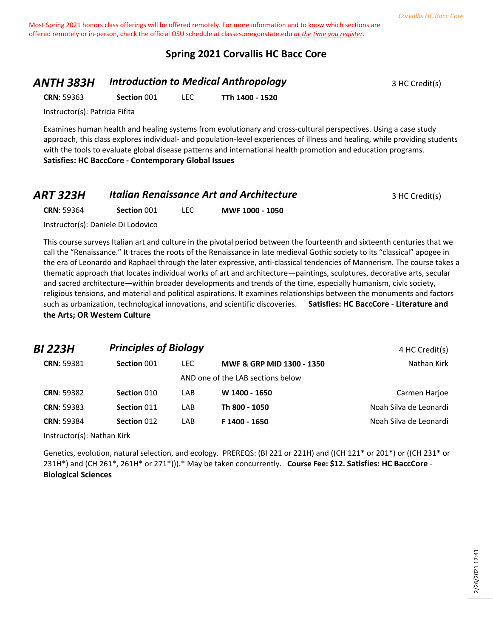## **Spring 2021 Corvallis HC Bacc Core**

## **ANTH 383H Introduction to Medical Anthropology** 3 HC Credit(s)

**CRN**: 59363 **Section** 001 LEC **TTh 1400 - 1520**

Instructor(s): Patricia Fifita

Examines human health and healing systems from evolutionary and cross-cultural perspectives. Using a case study approach, this class explores individual- and population-level experiences of illness and healing, while providing students with the tools to evaluate global disease patterns and international health promotion and education programs. **Satisfies: HC BaccCore - Contemporary Global Issues**

| ART 323H          |             |      | <b>Italian Renaissance Art and Architecture</b> | 3 HC Credit(s) |
|-------------------|-------------|------|-------------------------------------------------|----------------|
| <b>CRN: 59364</b> | Section 001 | LEC. | MWF 1000 - 1050                                 |                |

Instructor(s): Daniele Di Lodovico

This course surveys Italian art and culture in the pivotal period between the fourteenth and sixteenth centuries that we call the "Renaissance." It traces the roots of the Renaissance in late medieval Gothic society to its "classical" apogee in the era of Leonardo and Raphael through the later expressive, anti-classical tendencies of Mannerism. The course takes a thematic approach that locates individual works of art and architecture—paintings, sculptures, decorative arts, secular and sacred architecture—within broader developments and trends of the time, especially humanism, civic society, religious tensions, and material and political aspirations. It examines relationships between the monuments and factors such as urbanization, technological innovations, and scientific discoveries. **Satisfies: HC BaccCore** - **Literature and the Arts; OR Western Culture**

| BI 223H           | <b>Principles of Biology</b> |      |                                   | 4 HC Credit(s)         |
|-------------------|------------------------------|------|-----------------------------------|------------------------|
| <b>CRN: 59381</b> | Section 001                  | LEC. | MWF & GRP MID 1300 - 1350         | Nathan Kirk            |
|                   |                              |      | AND one of the LAB sections below |                        |
| <b>CRN: 59382</b> | Section 010                  | LAB  | W 1400 - 1650                     | Carmen Harjoe          |
| <b>CRN: 59383</b> | Section 011                  | LAB  | Th 800 - 1050                     | Noah Silva de Leonardi |
| <b>CRN: 59384</b> | Section 012                  | LAB  | F 1400 - 1650                     | Noah Silva de Leonardi |

Instructor(s): Nathan Kirk

Genetics, evolution, natural selection, and ecology. PREREQS: (BI 221 or 221H) and ((CH 121\* or 201\*) or ((CH 231\* or 231H\*) and (CH 261\*, 261H\* or 271\*))).\* May be taken concurrently. **Course Fee: \$12. Satisfies: HC BaccCore** - **Biological Sciences**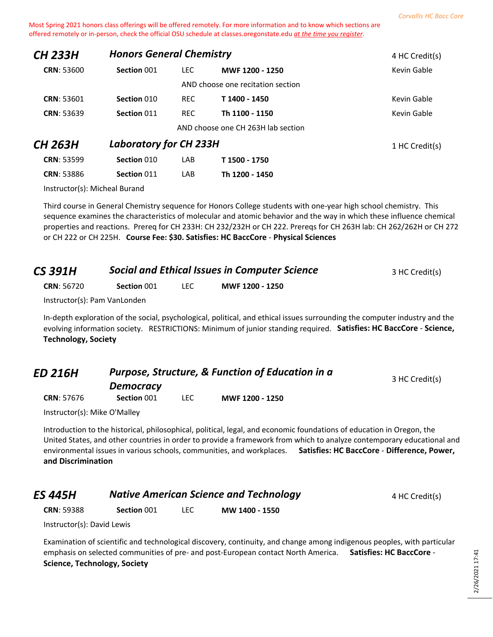| <b>CH 233H</b>    | <b>Honors General Chemistry</b> |            |                                    | 4 HC Credit(s) |
|-------------------|---------------------------------|------------|------------------------------------|----------------|
| <b>CRN: 53600</b> | Section 001                     | LEC.       | MWF 1200 - 1250                    | Kevin Gable    |
|                   |                                 |            | AND choose one recitation section  |                |
| <b>CRN: 53601</b> | Section 010                     | <b>REC</b> | T 1400 - 1450                      | Kevin Gable    |
| <b>CRN: 53639</b> | Section 011                     | <b>REC</b> | Th 1100 - 1150                     | Kevin Gable    |
|                   |                                 |            | AND choose one CH 263H lab section |                |
| CH 263H           | <b>Laboratory for CH 233H</b>   |            |                                    | 1 HC Credit(s) |
| <b>CRN: 53599</b> | Section 010                     | LAB        | T 1500 - 1750                      |                |
| <b>CRN: 53886</b> | Section 011                     | LAB        | Th 1200 - 1450                     |                |

Instructor(s): Micheal Burand

Third course in General Chemistry sequence for Honors College students with one-year high school chemistry. This sequence examines the characteristics of molecular and atomic behavior and the way in which these influence chemical properties and reactions. Prereq for CH 233H: CH 232/232H or CH 222. Prereqs for CH 263H lab: CH 262/262H or CH 272 or CH 222 or CH 225H. **Course Fee: \$30. Satisfies: HC BaccCore** - **Physical Sciences**

| <b>CS 391H</b>    | <b>Social and Ethical Issues in Computer Science</b> |       |                 | 3 HC Credit(s) |
|-------------------|------------------------------------------------------|-------|-----------------|----------------|
| <b>CRN: 56720</b> | Section 001                                          | LEC . | MWF 1200 - 1250 |                |
|                   | Instructor(s): Pam VanLonden                         |       |                 |                |

In-depth exploration of the social, psychological, political, and ethical issues surrounding the computer industry and the evolving information society. RESTRICTIONS: Minimum of junior standing required. **Satisfies: HC BaccCore** - **Science, Technology, Society**

| <b>ED 216H</b>    | <b>Purpose, Structure, &amp; Function of Education in a</b><br><b>Democracy</b> |      | 3 HC Credit(s)  |  |
|-------------------|---------------------------------------------------------------------------------|------|-----------------|--|
| <b>CRN: 57676</b> | Section 001                                                                     | LEC. | MWF 1200 - 1250 |  |

Instructor(s): Mike O'Malley

Introduction to the historical, philosophical, political, legal, and economic foundations of education in Oregon, the United States, and other countries in order to provide a framework from which to analyze contemporary educational and environmental issues in various schools, communities, and workplaces. **Satisfies: HC BaccCore** - **Difference, Power, and Discrimination**

| <b>ES 445H</b>    | <b>Native American Science and Technology</b> |  |                | 4 HC Credit(s) |
|-------------------|-----------------------------------------------|--|----------------|----------------|
| <b>CRN: 59388</b> | Section 001                                   |  | MW 1400 - 1550 |                |

Instructor(s): David Lewis

Examination of scientific and technological discovery, continuity, and change among indigenous peoples, with particular emphasis on selected communities of pre- and post-European contact North America. **Satisfies: HC BaccCore** - **Science, Technology, Society**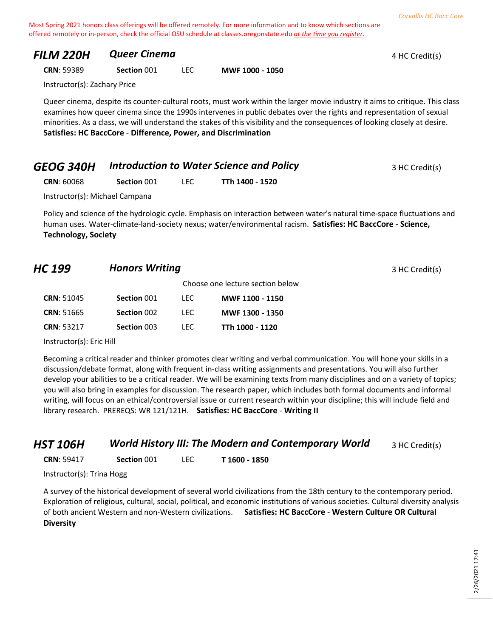| FILM 220H                    | <b>Queer Cinema</b> |      |                                                                                                                                                                                                                                                                                                                                                                                                                                                                                                                                                                                                                                                                                | 4 HC Credit(s) |
|------------------------------|---------------------|------|--------------------------------------------------------------------------------------------------------------------------------------------------------------------------------------------------------------------------------------------------------------------------------------------------------------------------------------------------------------------------------------------------------------------------------------------------------------------------------------------------------------------------------------------------------------------------------------------------------------------------------------------------------------------------------|----------------|
| <b>CRN: 59389</b>            | Section 001         | LEC. | MWF 1000 - 1050                                                                                                                                                                                                                                                                                                                                                                                                                                                                                                                                                                                                                                                                |                |
| Instructor(s): Zachary Price |                     |      |                                                                                                                                                                                                                                                                                                                                                                                                                                                                                                                                                                                                                                                                                |                |
|                              |                     |      | Queer cinema, despite its counter-cultural roots, must work within the larger movie industry it aims to critique. This class<br>examines how queer cinema since the 1990s intervenes in public debates over the rights and representation of sexual<br>$\mathcal{L}(\mathbf{1},\mathbf{1},\mathbf{1},\mathbf{1},\mathbf{1},\mathbf{1},\mathbf{1},\mathbf{1},\mathbf{1},\mathbf{1},\mathbf{1},\mathbf{1},\mathbf{1},\mathbf{1},\mathbf{1},\mathbf{1},\mathbf{1},\mathbf{1},\mathbf{1},\mathbf{1},\mathbf{1},\mathbf{1},\mathbf{1},\mathbf{1},\mathbf{1},\mathbf{1},\mathbf{1},\mathbf{1},\mathbf{1},\mathbf{1},\mathbf{1},\mathbf{1},\mathbf{1},\mathbf{1},\mathbf{1},\mathbf{$ |                |

minorities. As a class, we will understand the stakes of this visibility and the consequences of looking closely at desire. **Satisfies: HC BaccCore** - **Difference, Power, and Discrimination**

| <b>GEOG 340H</b>  | <b>Introduction to Water Science and Policy</b> |  | 3 HC Credit(s)  |  |
|-------------------|-------------------------------------------------|--|-----------------|--|
| <b>CRN: 60068</b> | Section 001                                     |  | TTh 1400 - 1520 |  |

Instructor(s): Michael Campana

Policy and science of the hydrologic cycle. Emphasis on interaction between water's natural time-space fluctuations and human uses. Water-climate-land-society nexus; water/environmental racism. **Satisfies: HC BaccCore** - **Science, Technology, Society**

## **HC 199 Honors Writing All and Secure 2 All and Secure 3 HC Credit(s)**

|                   |             |      | Choose one lecture section below |
|-------------------|-------------|------|----------------------------------|
| <b>CRN: 51045</b> | Section 001 | LEC. | MWF 1100 - 1150                  |
| <b>CRN: 51665</b> | Section 002 | LEC. | MWF 1300 - 1350                  |
| <b>CRN: 53217</b> | Section 003 | LEC. | TTh 1000 - 1120                  |

Instructor(s): Eric Hill

Becoming a critical reader and thinker promotes clear writing and verbal communication. You will hone your skills in a discussion/debate format, along with frequent in-class writing assignments and presentations. You will also further develop your abilities to be a critical reader. We will be examining texts from many disciplines and on a variety of topics; you will also bring in examples for discussion. The research paper, which includes both formal documents and informal writing, will focus on an ethical/controversial issue or current research within your discipline; this will include field and library research. PREREQS: WR 121/121H. **Satisfies: HC BaccCore** - **Writing II**

#### **HST 106H** *World History III: The Modern and Contemporary World* 3 HC Credit(s)

**CRN**: 59417 **Section** 001 LEC **T 1600 - 1850**

Instructor(s): Trina Hogg

A survey of the historical development of several world civilizations from the 18th century to the contemporary period. Exploration of religious, cultural, social, political, and economic institutions of various societies. Cultural diversity analysis of both ancient Western and non-Western civilizations. **Satisfies: HC BaccCore** - **Western Culture OR Cultural Diversity**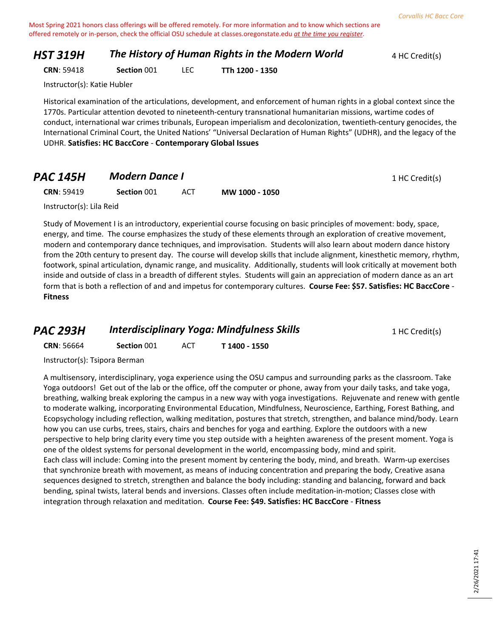## **HST 319H The History of Human Rights in the Modern World** 4 HC Credit(s)

**CRN**: 59418 **Section** 001 LEC **TTh 1200 - 1350**

Instructor(s): Katie Hubler

Historical examination of the articulations, development, and enforcement of human rights in a global context since the 1770s. Particular attention devoted to nineteenth-century transnational humanitarian missions, wartime codes of conduct, international war crimes tribunals, European imperialism and decolonization, twentieth-century genocides, the International Criminal Court, the United Nations' "Universal Declaration of Human Rights" (UDHR), and the legacy of the UDHR. **Satisfies: HC BaccCore** - **Contemporary Global Issues**

## **PAC 145H Modern Dance I PAC 145H Modern Dance I**

**CRN**: 59419 **Section** 001 ACT **MW 1000 - 1050**

Instructor(s): Lila Reid

Study of Movement I is an introductory, experiential course focusing on basic principles of movement: body, space, energy, and time. The course emphasizes the study of these elements through an exploration of creative movement, modern and contemporary dance techniques, and improvisation. Students will also learn about modern dance history from the 20th century to present day. The course will develop skills that include alignment, kinesthetic memory, rhythm, footwork, spinal articulation, dynamic range, and musicality. Additionally, students will look critically at movement both inside and outside of class in a breadth of different styles. Students will gain an appreciation of modern dance as an art form that is both a reflection of and and impetus for contemporary cultures. **Course Fee: \$57. Satisfies: HC BaccCore** - **Fitness**

## **PAC 293H Interdisciplinary Yoga: Mindfulness Skills** 1 HC Credit(s)

**CRN**: 56664 **Section** 001 ACT **T 1400 - 1550**

Instructor(s): Tsipora Berman

A multisensory, interdisciplinary, yoga experience using the OSU campus and surrounding parks as the classroom. Take Yoga outdoors! Get out of the lab or the office, off the computer or phone, away from your daily tasks, and take yoga, breathing, walking break exploring the campus in a new way with yoga investigations. Rejuvenate and renew with gentle to moderate walking, incorporating Environmental Education, Mindfulness, Neuroscience, Earthing, Forest Bathing, and Ecopsychology including reflection, walking meditation, postures that stretch, strengthen, and balance mind/body. Learn how you can use curbs, trees, stairs, chairs and benches for yoga and earthing. Explore the outdoors with a new perspective to help bring clarity every time you step outside with a heighten awareness of the present moment. Yoga is one of the oldest systems for personal development in the world, encompassing body, mind and spirit. Each class will include: Coming into the present moment by centering the body, mind, and breath. Warm-up exercises that synchronize breath with movement, as means of inducing concentration and preparing the body, Creative asana sequences designed to stretch, strengthen and balance the body including: standing and balancing, forward and back bending, spinal twists, lateral bends and inversions. Classes often include meditation-in-motion; Classes close with integration through relaxation and meditation. **Course Fee: \$49. Satisfies: HC BaccCore** - **Fitness**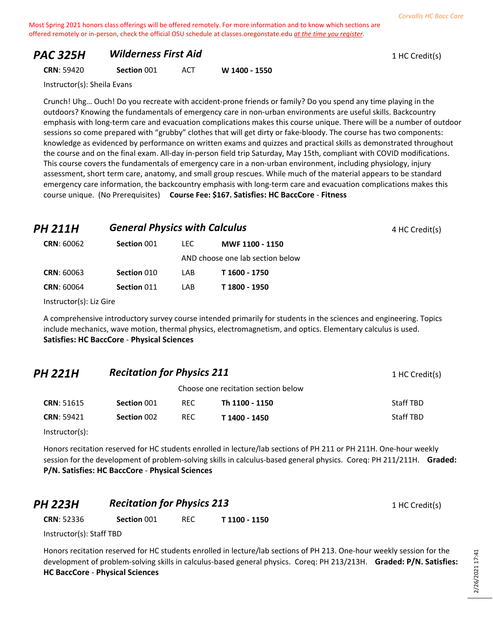## **PAC 325H Wilderness First Aid 1 HC Credit(s) 1 HC Credit(s)**

**CRN**: 59420 **Section** 001 ACT **W 1400 - 1550**

Instructor(s): Sheila Evans

Crunch! Uhg… Ouch! Do you recreate with accident-prone friends or family? Do you spend any time playing in the outdoors? Knowing the fundamentals of emergency care in non-urban environments are useful skills. Backcountry emphasis with long-term care and evacuation complications makes this course unique. There will be a number of outdoor sessions so come prepared with "grubby" clothes that will get dirty or fake-bloody. The course has two components: knowledge as evidenced by performance on written exams and quizzes and practical skills as demonstrated throughout the course and on the final exam. All-day in-person field trip Saturday, May 15th, compliant with COVID modifications. This course covers the fundamentals of emergency care in a non-urban environment, including physiology, injury assessment, short term care, anatomy, and small group rescues. While much of the material appears to be standard emergency care information, the backcountry emphasis with long-term care and evacuation complications makes this course unique. (No Prerequisites) **Course Fee: \$167. Satisfies: HC BaccCore** - **Fitness**

# **PH 211H General Physics with Calculus 1 AM <b>211H General Physics with Calculus 4 AM 4 HC Credit(s) CRN**: 60062 **Section** 001 LEC **MWF 1100 - 1150** AND choose one lab section below **CRN**: 60063 **Section** 010 LAB **T 1600 - 1750**

Instructor(s): Liz Gire

A comprehensive introductory survey course intended primarily for students in the sciences and engineering. Topics include mechanics, wave motion, thermal physics, electromagnetism, and optics. Elementary calculus is used. **Satisfies: HC BaccCore** - **Physical Sciences**

| <b>PH 221H</b>    |             | <b>Recitation for Physics 211</b> |                                     |           |
|-------------------|-------------|-----------------------------------|-------------------------------------|-----------|
|                   |             |                                   | Choose one recitation section below |           |
| <b>CRN: 51615</b> | Section 001 | <b>RFC</b>                        | Th 1100 - 1150                      | Staff TBD |

**CRN**: 59421 **Section** 002 REC **T 1400 - 1450** Staff TBD

Instructor(s):

Honors recitation reserved for HC students enrolled in lecture/lab sections of PH 211 or PH 211H. One-hour weekly session for the development of problem-solving skills in calculus-based general physics. Coreq: PH 211/211H. **Graded: P/N. Satisfies: HC BaccCore** - **Physical Sciences**

# **PH 223H Recitation for Physics 213** 1 HC Credit(s) **CRN**: 52336 **Section** 001 REC **T 1100 - 1150**

Instructor(s): Staff TBD

Honors recitation reserved for HC students enrolled in lecture/lab sections of PH 213. One-hour weekly session for the development of problem-solving skills in calculus-based general physics. Coreq: PH 213/213H. **Graded: P/N. Satisfies: HC BaccCore** - **Physical Sciences**

**CRN**: 60064 **Section** 011 LAB **T 1800 - 1950**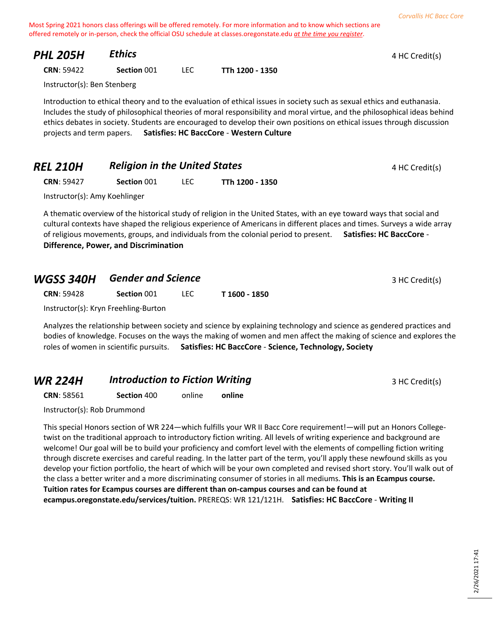| PHL 205H                    | <b>Ethics</b> |      |                                                 | 4 HC Credit(s)                                                                                                                                                                                                                                                                                                                                                                 |
|-----------------------------|---------------|------|-------------------------------------------------|--------------------------------------------------------------------------------------------------------------------------------------------------------------------------------------------------------------------------------------------------------------------------------------------------------------------------------------------------------------------------------|
| <b>CRN: 59422</b>           | Section 001   | LEC. | TTh 1200 - 1350                                 |                                                                                                                                                                                                                                                                                                                                                                                |
| Instructor(s): Ben Stenberg |               |      |                                                 |                                                                                                                                                                                                                                                                                                                                                                                |
| projects and term papers.   |               |      | <b>Satisfies: HC BaccCore - Western Culture</b> | Introduction to ethical theory and to the evaluation of ethical issues in society such as sexual ethics and euthanasia.<br>Includes the study of philosophical theories of moral responsibility and moral virtue, and the philosophical ideas behind<br>ethics debates in society. Students are encouraged to develop their own positions on ethical issues through discussion |

| <b>REL 210H</b> | <b>Religion in the United States</b> | 4 HC Credit(s) |
|-----------------|--------------------------------------|----------------|
|                 |                                      |                |

**CRN**: 59427 **Section** 001 LEC **TTh 1200 - 1350**

Instructor(s): Amy Koehlinger

A thematic overview of the historical study of religion in the United States, with an eye toward ways that social and cultural contexts have shaped the religious experience of Americans in different places and times. Surveys a wide array of religious movements, groups, and individuals from the colonial period to present. **Satisfies: HC BaccCore** - **Difference, Power, and Discrimination**

| <b>WGSS 340H</b>  | <b>Gender and Science</b>            |      |               | 3 HC Credit(s) |
|-------------------|--------------------------------------|------|---------------|----------------|
| <b>CRN: 59428</b> | Section 001                          | TEC. | T 1600 - 1850 |                |
|                   | Instructor(s): Kryn Freehling-Burton |      |               |                |

Analyzes the relationship between society and science by explaining technology and science as gendered practices and bodies of knowledge. Focuses on the ways the making of women and men affect the making of science and explores the roles of women in scientific pursuits. **Satisfies: HC BaccCore** - **Science, Technology, Society**

## **WR 224H Introduction to Fiction Writing 3 HC Credit(s)** 3 HC Credit(s)

**CRN**: 58561 **Section** 400 online **online**

Instructor(s): Rob Drummond

This special Honors section of WR 224—which fulfills your WR II Bacc Core requirement!—will put an Honors Collegetwist on the traditional approach to introductory fiction writing. All levels of writing experience and background are welcome! Our goal will be to build your proficiency and comfort level with the elements of compelling fiction writing through discrete exercises and careful reading. In the latter part of the term, you'll apply these newfound skills as you develop your fiction portfolio, the heart of which will be your own completed and revised short story. You'll walk out of the class a better writer and a more discriminating consumer of stories in all mediums. **This is an Ecampus course. Tuition rates for Ecampus courses are different than on-campus courses and can be found at ecampus.oregonstate.edu/services/tuition.** PREREQS: WR 121/121H. **Satisfies: HC BaccCore** - **Writing II**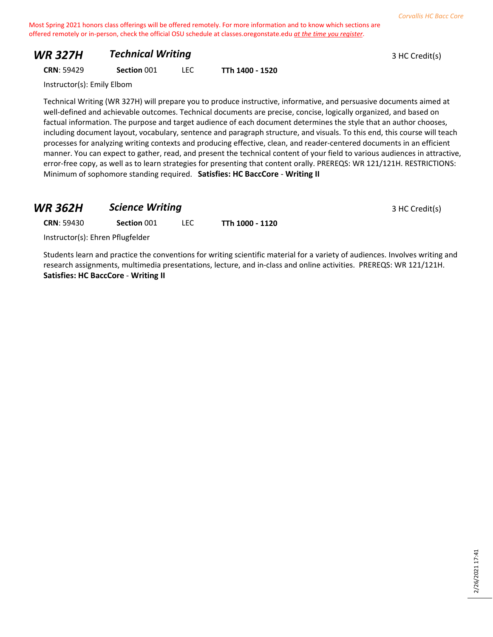## *WR 327H Technical Writing* **3 HC Credit(s)** 3 HC Credit(s)

**CRN**: 59429 **Section** 001 LEC **TTh 1400 - 1520**

Instructor(s): Emily Elbom

Technical Writing (WR 327H) will prepare you to produce instructive, informative, and persuasive documents aimed at well-defined and achievable outcomes. Technical documents are precise, concise, logically organized, and based on factual information. The purpose and target audience of each document determines the style that an author chooses, including document layout, vocabulary, sentence and paragraph structure, and visuals. To this end, this course will teach processes for analyzing writing contexts and producing effective, clean, and reader-centered documents in an efficient manner. You can expect to gather, read, and present the technical content of your field to various audiences in attractive, error-free copy, as well as to learn strategies for presenting that content orally. PREREQS: WR 121/121H. RESTRICTIONS: Minimum of sophomore standing required. **Satisfies: HC BaccCore** - **Writing II**

## **WR 362H •• Science Writing 3 HC Credit(s)**

**CRN**: 59430 **Section** 001 LEC **TTh 1000 - 1120**

Instructor(s): Ehren Pflugfelder

Students learn and practice the conventions for writing scientific material for a variety of audiences. Involves writing and research assignments, multimedia presentations, lecture, and in-class and online activities. PREREQS: WR 121/121H. **Satisfies: HC BaccCore** - **Writing II**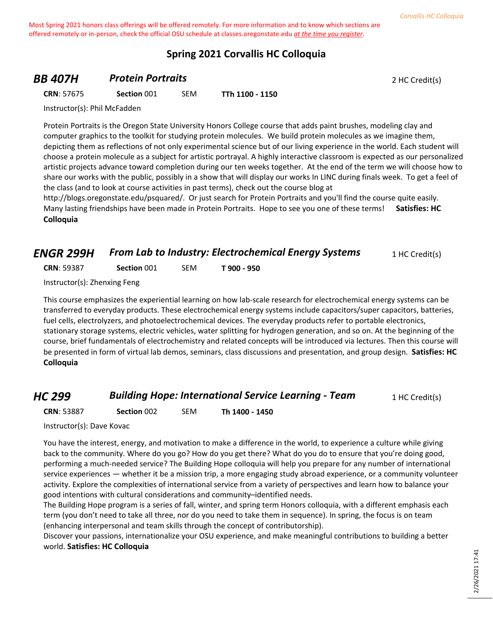## **Spring 2021 Corvallis HC Colloquia**

## **BB 407H Protein Portraits Protein Portraits** 2 HC Credit(s)

**CRN**: 57675 **Section** 001 SEM **TTh 1100 - 1150**

Instructor(s): Phil McFadden

Protein Portraits is the Oregon State University Honors College course that adds paint brushes, modeling clay and computer graphics to the toolkit for studying protein molecules. We build protein molecules as we imagine them, depicting them as reflections of not only experimental science but of our living experience in the world. Each student will choose a protein molecule as a subject for artistic portrayal. A highly interactive classroom is expected as our personalized artistic projects advance toward completion during our ten weeks together. At the end of the term we will choose how to share our works with the public, possibly in a show that will display our works In LINC during finals week. To get a feel of the class (and to look at course activities in past terms), check out the course blog at

http://blogs.oregonstate.edu/psquared/. Or just search for Protein Portraits and you'll find the course quite easily. Many lasting friendships have been made in Protein Portraits. Hope to see you one of these terms! **Satisfies: HC Colloquia**

## *ENGR 299H • From Lab to Industry: Electrochemical Energy Systems* **1 HC Credit(s)**

**CRN**: 59387 **Section** 001 SEM **T 900 - 950**

Instructor(s): Zhenxing Feng

This course emphasizes the experiential learning on how lab-scale research for electrochemical energy systems can be transferred to everyday products. These electrochemical energy systems include capacitors/super capacitors, batteries, fuel cells, electrolyzers, and photoelectrochemical devices. The everyday products refer to portable electronics, stationary storage systems, electric vehicles, water splitting for hydrogen generation, and so on. At the beginning of the course, brief fundamentals of electrochemistry and related concepts will be introduced via lectures. Then this course will be presented in form of virtual lab demos, seminars, class discussions and presentation, and group design. **Satisfies: HC Colloquia**

## *HC 299* **Building Hope: International Service Learning - Team** 1 HC Credit(s)

**CRN**: 53887 **Section** 002 SEM **Th 1400 - 1450**

Instructor(s): Dave Kovac

You have the interest, energy, and motivation to make a difference in the world, to experience a culture while giving back to the community. Where do you go? How do you get there? What do you do to ensure that you're doing good, performing a much-needed service? The Building Hope colloquia will help you prepare for any number of international service experiences — whether it be a mission trip, a more engaging study abroad experience, or a community volunteer activity. Explore the complexities of international service from a variety of perspectives and learn how to balance your good intentions with cultural considerations and community–identified needs.

The Building Hope program is a series of fall, winter, and spring term Honors colloquia, with a different emphasis each term (you don't need to take all three, nor do you need to take them in sequence). In spring, the focus is on team (enhancing interpersonal and team skills through the concept of contributorship).

Discover your passions, internationalize your OSU experience, and make meaningful contributions to building a better world. **Satisfies: HC Colloquia**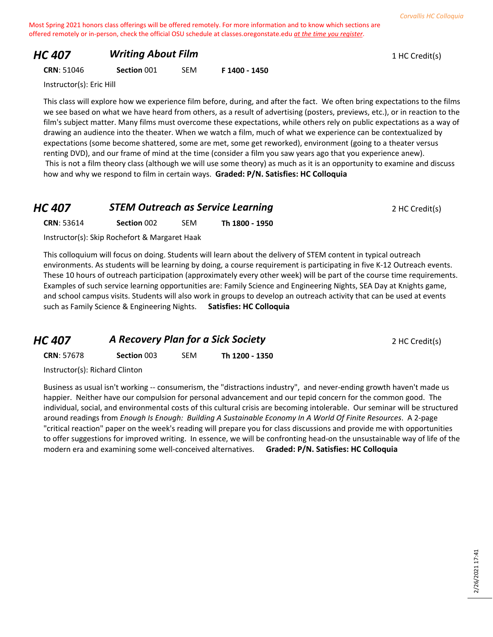## *HC 407* **Writing About Film 1 HC Credit(s) 1 HC Credit(s)**

#### **CRN**: 51046 **Section** 001 SEM **F 1400 - 1450**

Instructor(s): Eric Hill

This class will explore how we experience film before, during, and after the fact. We often bring expectations to the films we see based on what we have heard from others, as a result of advertising (posters, previews, etc.), or in reaction to the film's subject matter. Many films must overcome these expectations, while others rely on public expectations as a way of drawing an audience into the theater. When we watch a film, much of what we experience can be contextualized by expectations (some become shattered, some are met, some get reworked), environment (going to a theater versus renting DVD), and our frame of mind at the time (consider a film you saw years ago that you experience anew). This is not a film theory class (although we will use some theory) as much as it is an opportunity to examine and discuss how and why we respond to film in certain ways. **Graded: P/N. Satisfies: HC Colloquia**

## **HC 407 STEM Outreach as Service Learning Property 2 HC Credit(s)**

**CRN**: 53614 **Section** 002 SEM **Th 1800 - 1950**

Instructor(s): Skip Rochefort & Margaret Haak

This colloquium will focus on doing. Students will learn about the delivery of STEM content in typical outreach environments. As students will be learning by doing, a course requirement is participating in five K-12 Outreach events. These 10 hours of outreach participation (approximately every other week) will be part of the course time requirements. Examples of such service learning opportunities are: Family Science and Engineering Nights, SEA Day at Knights game, and school campus visits. Students will also work in groups to develop an outreach activity that can be used at events such as Family Science & Engineering Nights. **Satisfies: HC Colloquia**

| <b>HC 407</b>     | A Recovery Plan for a Sick Society |            |                | 2 HC Credit(s) |
|-------------------|------------------------------------|------------|----------------|----------------|
| <b>CRN: 57678</b> | <b>Section 003</b>                 | <b>SEM</b> | Th 1200 - 1350 |                |
|                   |                                    |            |                |                |

Instructor(s): Richard Clinton

Business as usual isn't working -- consumerism, the "distractions industry", and never-ending growth haven't made us happier. Neither have our compulsion for personal advancement and our tepid concern for the common good. The individual, social, and environmental costs of this cultural crisis are becoming intolerable. Our seminar will be structured around readings from *Enough Is Enough: Building A Sustainable Economy In A World Of Finite Resources*. A 2-page "critical reaction" paper on the week's reading will prepare you for class discussions and provide me with opportunities to offer suggestions for improved writing. In essence, we will be confronting head-on the unsustainable way of life of the modern era and examining some well-conceived alternatives. **Graded: P/N. Satisfies: HC Colloquia**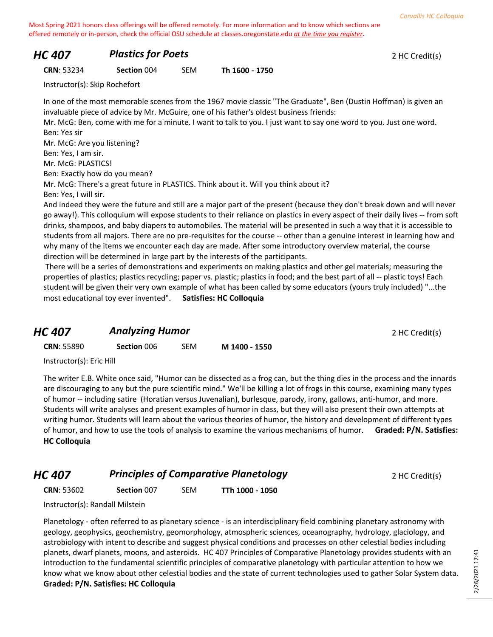## *HC 407* **Plastics for Poets 2 HC Credit(s)**

**CRN**: 53234 **Section** 004 SEM **Th 1600 - 1750**

Instructor(s): Skip Rochefort

In one of the most memorable scenes from the 1967 movie classic "The Graduate", Ben (Dustin Hoffman) is given an invaluable piece of advice by Mr. McGuire, one of his father's oldest business friends:

Mr. McG: Ben, come with me for a minute. I want to talk to you. I just want to say one word to you. Just one word. Ben: Yes sir

Mr. McG: Are you listening?

Ben: Yes, I am sir.

Mr. McG: PLASTICS!

Ben: Exactly how do you mean?

Mr. McG: There's a great future in PLASTICS. Think about it. Will you think about it? Ben: Yes, I will sir.

And indeed they were the future and still are a major part of the present (because they don't break down and will never go away!). This colloquium will expose students to their reliance on plastics in every aspect of their daily lives -- from soft drinks, shampoos, and baby diapers to automobiles. The material will be presented in such a way that it is accessible to students from all majors. There are no pre-requisites for the course -- other than a genuine interest in learning how and why many of the items we encounter each day are made. After some introductory overview material, the course direction will be determined in large part by the interests of the participants.

There will be a series of demonstrations and experiments on making plastics and other gel materials; measuring the properties of plastics; plastics recycling; paper vs. plastic; plastics in food; and the best part of all -- plastic toys! Each student will be given their very own example of what has been called by some educators (yours truly included) "...the most educational toy ever invented". **Satisfies: HC Colloquia**

## **HC 407 Analyzing Humor** *Analyzing Humor PHC ADI ANALYZING**2 HC Credit(s)*

| <b>CRN: 55890</b> | Section 006 | <b>SEM</b> | M 1400 - 1550 |
|-------------------|-------------|------------|---------------|
|                   |             |            |               |

Instructor(s): Eric Hill

The writer E.B. White once said, "Humor can be dissected as a frog can, but the thing dies in the process and the innards are discouraging to any but the pure scientific mind." We'll be killing a lot of frogs in this course, examining many types of humor -- including satire (Horatian versus Juvenalian), burlesque, parody, irony, gallows, anti-humor, and more. Students will write analyses and present examples of humor in class, but they will also present their own attempts at writing humor. Students will learn about the various theories of humor, the history and development of different types of humor, and how to use the tools of analysis to examine the various mechanisms of humor. **Graded: P/N. Satisfies: HC Colloquia**

*HC 407* **Principles of Comparative Planetology 2 HC Credit(s)** 

**CRN**: 53602 **Section** 007 SEM **TTh 1000 - 1050**

Instructor(s): Randall Milstein

Planetology - often referred to as planetary science - is an interdisciplinary field combining planetary astronomy with geology, geophysics, geochemistry, geomorphology, atmospheric sciences, oceanography, hydrology, glaciology, and astrobiology with intent to describe and suggest physical conditions and processes on other celestial bodies including planets, dwarf planets, moons, and asteroids. HC 407 Principles of Comparative Planetology provides students with an introduction to the fundamental scientific principles of comparative planetology with particular attention to how we know what we know about other celestial bodies and the state of current technologies used to gather Solar System data. **Graded: P/N. Satisfies: HC Colloquia**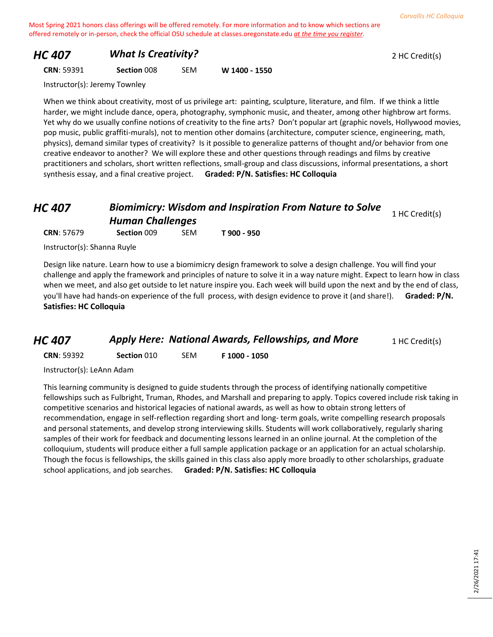## *HC 407 What Is Creativity?* 2 HC Credit(s)

#### **CRN**: 59391 **Section** 008 SEM **W 1400 - 1550**

Instructor(s): Jeremy Townley

When we think about creativity, most of us privilege art: painting, sculpture, literature, and film. If we think a little harder, we might include dance, opera, photography, symphonic music, and theater, among other highbrow art forms. Yet why do we usually confine notions of creativity to the fine arts? Don't popular art (graphic novels, Hollywood movies, pop music, public graffiti-murals), not to mention other domains (architecture, computer science, engineering, math, physics), demand similar types of creativity? Is it possible to generalize patterns of thought and/or behavior from one creative endeavor to another? We will explore these and other questions through readings and films by creative practitioners and scholars, short written reflections, small-group and class discussions, informal presentations, a short synthesis essay, and a final creative project. **Graded: P/N. Satisfies: HC Colloquia**

## *HC 407 Biomimicry: Wisdom and Inspiration From Nature to Solve Human Challenges* **1** HC Credit(s)

**CRN**: 57679 **Section** 009 SEM **T 900 - 950**

Instructor(s): Shanna Ruyle

Design like nature. Learn how to use a biomimicry design framework to solve a design challenge. You will find your challenge and apply the framework and principles of nature to solve it in a way nature might. Expect to learn how in class when we meet, and also get outside to let nature inspire you. Each week will build upon the next and by the end of class, you'll have had hands-on experience of the full process, with design evidence to prove it (and share!). **Graded: P/N. Satisfies: HC Colloquia**

## *HC 407* **Apply Here: National Awards, Fellowships, and More** 1 HC Credit(s)

**CRN**: 59392 **Section** 010 SEM **F 1000 - 1050**

Instructor(s): LeAnn Adam

This learning community is designed to guide students through the process of identifying nationally competitive fellowships such as Fulbright, Truman, Rhodes, and Marshall and preparing to apply. Topics covered include risk taking in competitive scenarios and historical legacies of national awards, as well as how to obtain strong letters of recommendation, engage in self-reflection regarding short and long- term goals, write compelling research proposals and personal statements, and develop strong interviewing skills. Students will work collaboratively, regularly sharing samples of their work for feedback and documenting lessons learned in an online journal. At the completion of the colloquium, students will produce either a full sample application package or an application for an actual scholarship. Though the focus is fellowships, the skills gained in this class also apply more broadly to other scholarships, graduate school applications, and job searches. **Graded: P/N. Satisfies: HC Colloquia**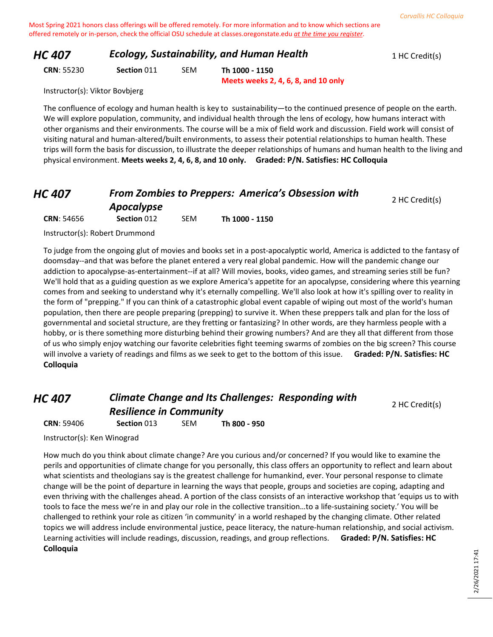| 1 HC Credit(s) |
|----------------|
|                |

**CRN**: 55230 **Section** 011 SEM **Th 1000 - 1150**

**Meets weeks 2, 4, 6, 8, and 10 only**

Instructor(s): Viktor Bovbjerg

The confluence of ecology and human health is key to sustainability—to the continued presence of people on the earth. We will explore population, community, and individual health through the lens of ecology, how humans interact with other organisms and their environments. The course will be a mix of field work and discussion. Field work will consist of visiting natural and human-altered/built environments, to assess their potential relationships to human health. These trips will form the basis for discussion, to illustrate the deeper relationships of humans and human health to the living and physical environment. **Meets weeks 2, 4, 6, 8, and 10 only. Graded: P/N. Satisfies: HC Colloquia**

## *HC 407 From Zombies to Preppers: America's Obsession with*

| 5 TU/             |             |            |                |                |  |  |
|-------------------|-------------|------------|----------------|----------------|--|--|
|                   | Apocalypse  |            |                | 2 HC Credit(s) |  |  |
| <b>CRN: 54656</b> | Section 012 | <b>SEM</b> | Th 1000 - 1150 |                |  |  |

Instructor(s): Robert Drummond

To judge from the ongoing glut of movies and books set in a post-apocalyptic world, America is addicted to the fantasy of doomsday--and that was before the planet entered a very real global pandemic. How will the pandemic change our addiction to apocalypse-as-entertainment--if at all? Will movies, books, video games, and streaming series still be fun? We'll hold that as a guiding question as we explore America's appetite for an apocalypse, considering where this yearning comes from and seeking to understand why it's eternally compelling. We'll also look at how it's spilling over to reality in the form of "prepping." If you can think of a catastrophic global event capable of wiping out most of the world's human population, then there are people preparing (prepping) to survive it. When these preppers talk and plan for the loss of governmental and societal structure, are they fretting or fantasizing? In other words, are they harmless people with a hobby, or is there something more disturbing behind their growing numbers? And are they all that different from those of us who simply enjoy watching our favorite celebrities fight teeming swarms of zombies on the big screen? This course will involve a variety of readings and films as we seek to get to the bottom of this issue. **Graded: P/N. Satisfies: HC Colloquia**

*HC 407 Climate Change and Its Challenges: Responding with Resilience in Community* **CRN**: 59406 **Section** 013 SEM **Th 800 - 950**

2 HC Credit(s)

Instructor(s): Ken Winograd

How much do you think about climate change? Are you curious and/or concerned? If you would like to examine the perils and opportunities of climate change for you personally, this class offers an opportunity to reflect and learn about what scientists and theologians say is the greatest challenge for humankind, ever. Your personal response to climate change will be the point of departure in learning the ways that people, groups and societies are coping, adapting and even thriving with the challenges ahead. A portion of the class consists of an interactive workshop that 'equips us to with tools to face the mess we're in and play our role in the collective transition…to a life-sustaining society.' You will be challenged to rethink your role as citizen 'in community' in a world reshaped by the changing climate. Other related topics we will address include environmental justice, peace literacy, the nature-human relationship, and social activism. Learning activities will include readings, discussion, readings, and group reflections. **Graded: P/N. Satisfies: HC Colloquia**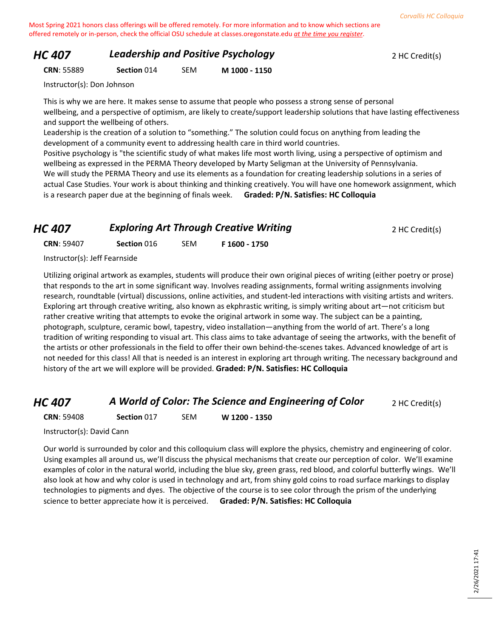## *HC 407* **Leadership and Positive Psychology 2 HC Credit(s)**

**CRN**: 55889 **Section** 014 SEM **M 1000 - 1150**

Instructor(s): Don Johnson

This is why we are here. It makes sense to assume that people who possess a strong sense of personal wellbeing, and a perspective of optimism, are likely to create/support leadership solutions that have lasting effectiveness and support the wellbeing of others.

Leadership is the creation of a solution to "something." The solution could focus on anything from leading the development of a community event to addressing health care in third world countries.

Positive psychology is "the scientific study of what makes life most worth living, using a perspective of optimism and wellbeing as expressed in the PERMA Theory developed by Marty Seligman at the University of Pennsylvania. We will study the PERMA Theory and use its elements as a foundation for creating leadership solutions in a series of actual Case Studies. Your work is about thinking and thinking creatively. You will have one homework assignment, which is a research paper due at the beginning of finals week. **Graded: P/N. Satisfies: HC Colloquia**

# **HC 407 Exploring Art Through Creative Writing Property 2 HC Credit(s)**

**CRN**: 59407 **Section** 016 SEM **F 1600 - 1750**

Instructor(s): Jeff Fearnside

Utilizing original artwork as examples, students will produce their own original pieces of writing (either poetry or prose) that responds to the art in some significant way. Involves reading assignments, formal writing assignments involving research, roundtable (virtual) discussions, online activities, and student-led interactions with visiting artists and writers. Exploring art through creative writing, also known as ekphrastic writing, is simply writing about art—not criticism but rather creative writing that attempts to evoke the original artwork in some way. The subject can be a painting, photograph, sculpture, ceramic bowl, tapestry, video installation—anything from the world of art. There's a long tradition of writing responding to visual art. This class aims to take advantage of seeing the artworks, with the benefit of the artists or other professionals in the field to offer their own behind-the-scenes takes. Advanced knowledge of art is not needed for this class! All that is needed is an interest in exploring art through writing. The necessary background and history of the art we will explore will be provided. **Graded: P/N. Satisfies: HC Colloquia**

## *HC 407* **A World of Color: The Science and Engineering of Color** 2 HC Credit(s)

**CRN**: 59408 **Section** 017 SEM **W 1200 - 1350**

Instructor(s): David Cann

Our world is surrounded by color and this colloquium class will explore the physics, chemistry and engineering of color. Using examples all around us, we'll discuss the physical mechanisms that create our perception of color. We'll examine examples of color in the natural world, including the blue sky, green grass, red blood, and colorful butterfly wings. We'll also look at how and why color is used in technology and art, from shiny gold coins to road surface markings to display technologies to pigments and dyes. The objective of the course is to see color through the prism of the underlying science to better appreciate how it is perceived. **Graded: P/N. Satisfies: HC Colloquia**

2/26/2021 17:41 2/26/2021 17:41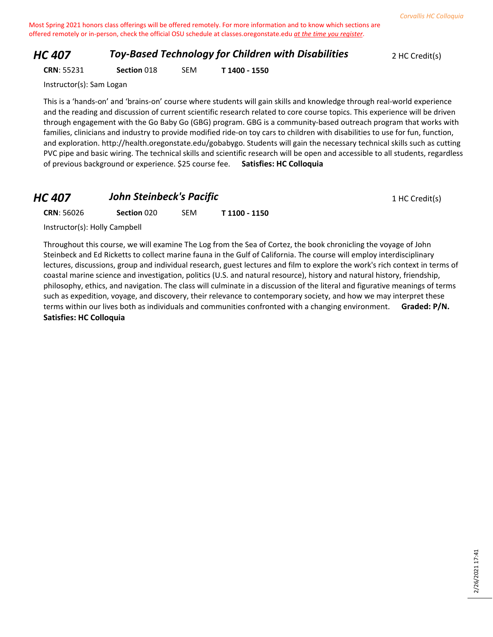## *HC 407* **Toy-Based Technology for Children with Disabilities** 2 HC Credit(s)

**CRN**: 55231 **Section** 018 SEM **T 1400 - 1550**

Instructor(s): Sam Logan

This is a 'hands-on' and 'brains-on' course where students will gain skills and knowledge through real-world experience and the reading and discussion of current scientific research related to core course topics. This experience will be driven through engagement with the Go Baby Go (GBG) program. GBG is a community-based outreach program that works with families, clinicians and industry to provide modified ride-on toy cars to children with disabilities to use for fun, function, and exploration. http://health.oregonstate.edu/gobabygo. Students will gain the necessary technical skills such as cutting PVC pipe and basic wiring. The technical skills and scientific research will be open and accessible to all students, regardless of previous background or experience. \$25 course fee. **Satisfies: HC Colloquia**

## **HC 407 John Steinbeck's Pacific 1 HC Credit(s) 1 HC Credit(s)**

**CRN**: 56026 **Section** 020 SEM **T 1100 - 1150**

Instructor(s): Holly Campbell

Throughout this course, we will examine The Log from the Sea of Cortez, the book chronicling the voyage of John Steinbeck and Ed Ricketts to collect marine fauna in the Gulf of California. The course will employ interdisciplinary lectures, discussions, group and individual research, guest lectures and film to explore the work's rich context in terms of coastal marine science and investigation, politics (U.S. and natural resource), history and natural history, friendship, philosophy, ethics, and navigation. The class will culminate in a discussion of the literal and figurative meanings of terms such as expedition, voyage, and discovery, their relevance to contemporary society, and how we may interpret these terms within our lives both as individuals and communities confronted with a changing environment. **Graded: P/N. Satisfies: HC Colloquia**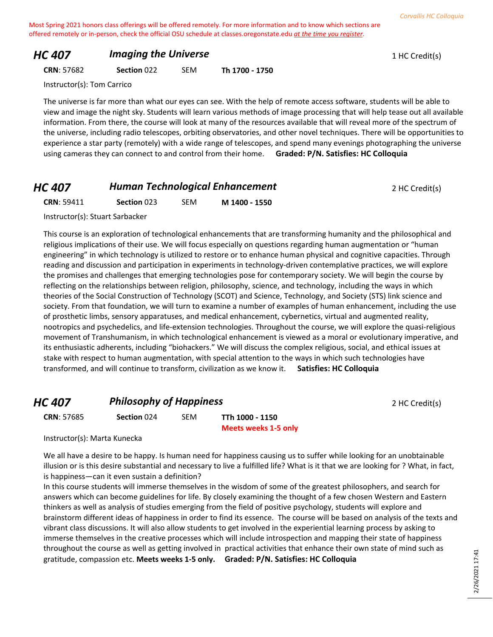#### *HC 407 Imaging the Universe* **1 HC Credit(s) 1 HC Credit(s)**

**CRN**: 57682 **Section** 022 SEM **Th 1700 - 1750**

Instructor(s): Tom Carrico

The universe is far more than what our eyes can see. With the help of remote access software, students will be able to view and image the night sky. Students will learn various methods of image processing that will help tease out all available information. From there, the course will look at many of the resources available that will reveal more of the spectrum of the universe, including radio telescopes, orbiting observatories, and other novel techniques. There will be opportunities to experience a star party (remotely) with a wide range of telescopes, and spend many evenings photographing the universe using cameras they can connect to and control from their home. **Graded: P/N. Satisfies: HC Colloquia**

## **HC 407 Human Technological Enhancement** 2 HC Credit(s)

**CRN**: 59411 **Section** 023 SEM **M 1400 - 1550**

Instructor(s): Stuart Sarbacker

This course is an exploration of technological enhancements that are transforming humanity and the philosophical and religious implications of their use. We will focus especially on questions regarding human augmentation or "human engineering" in which technology is utilized to restore or to enhance human physical and cognitive capacities. Through reading and discussion and participation in experiments in technology-driven contemplative practices, we will explore the promises and challenges that emerging technologies pose for contemporary society. We will begin the course by reflecting on the relationships between religion, philosophy, science, and technology, including the ways in which theories of the Social Construction of Technology (SCOT) and Science, Technology, and Society (STS) link science and society. From that foundation, we will turn to examine a number of examples of human enhancement, including the use of prosthetic limbs, sensory apparatuses, and medical enhancement, cybernetics, virtual and augmented reality, nootropics and psychedelics, and life-extension technologies. Throughout the course, we will explore the quasi-religious movement of Transhumanism, in which technological enhancement is viewed as a moral or evolutionary imperative, and its enthusiastic adherents, including "biohackers." We will discuss the complex religious, social, and ethical issues at stake with respect to human augmentation, with special attention to the ways in which such technologies have transformed, and will continue to transform, civilization as we know it. **Satisfies: HC Colloquia**

## **HC 407 Philosophy of Happiness** 2 HC Credit(s)

**CRN**: 57685 **Section** 024 SEM **TTh 1000 - 1150**

**Meets weeks 1-5 only**

Instructor(s): Marta Kunecka

We all have a desire to be happy. Is human need for happiness causing us to suffer while looking for an unobtainable illusion or is this desire substantial and necessary to live a fulfilled life? What is it that we are looking for ? What, in fact, is happiness—can it even sustain a definition?

In this course students will immerse themselves in the wisdom of some of the greatest philosophers, and search for answers which can become guidelines for life. By closely examining the thought of a few chosen Western and Eastern thinkers as well as analysis of studies emerging from the field of positive psychology, students will explore and brainstorm different ideas of happiness in order to find its essence. The course will be based on analysis of the texts and vibrant class discussions. It will also allow students to get involved in the experiential learning process by asking to immerse themselves in the creative processes which will include introspection and mapping their state of happiness throughout the course as well as getting involved in practical activities that enhance their own state of mind such as gratitude, compassion etc. **Meets weeks 1-5 only. Graded: P/N. Satisfies: HC Colloquia**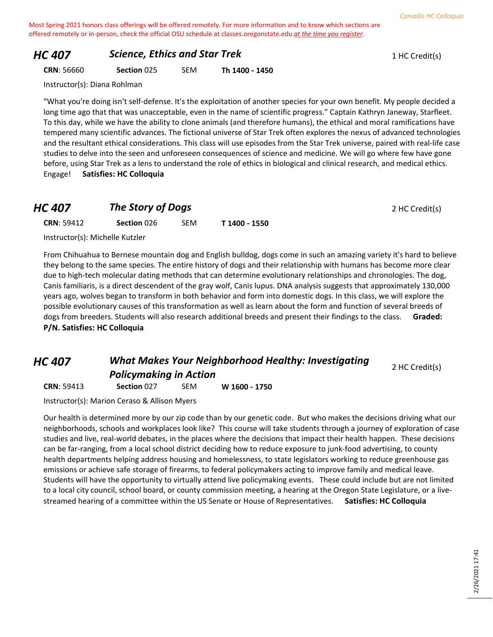## *HC 407* **Science, Ethics and Star Trek** 1 HC Credit(s)

#### **CRN**: 56660 **Section** 025 SEM **Th 1400 - 1450**

Instructor(s): Diana Rohlman

"What you're doing isn't self-defense. It's the exploitation of another species for your own benefit. My people decided a long time ago that that was unacceptable, even in the name of scientific progress." Captain Kathryn Janeway, Starfleet. To this day, while we have the ability to clone animals (and therefore humans), the ethical and moral ramifications have tempered many scientific advances. The fictional universe of Star Trek often explores the nexus of advanced technologies and the resultant ethical considerations. This class will use episodes from the Star Trek universe, paired with real-life case studies to delve into the seen and unforeseen consequences of science and medicine. We will go where few have gone before, using Star Trek as a lens to understand the role of ethics in biological and clinical research, and medical ethics. Engage! **Satisfies: HC Colloquia**

#### *HC 407* **The Story of Dogs** 2 HC Credit(s)

**CRN**: 59412 **Section** 026 SEM **T 1400 - 1550**

Instructor(s): Michelle Kutzler

From Chihuahua to Bernese mountain dog and English bulldog, dogs come in such an amazing variety it's hard to believe they belong to the same species. The entire history of dogs and their relationship with humans has become more clear due to high-tech molecular dating methods that can determine evolutionary relationships and chronologies. The dog, Canis familiaris, is a direct descendent of the gray wolf, Canis lupus. DNA analysis suggests that approximately 130,000 years ago, wolves began to transform in both behavior and form into domestic dogs. In this class, we will explore the possible evolutionary causes of this transformation as well as learn about the form and function of several breeds of dogs from breeders. Students will also research additional breeds and present their findings to the class. **Graded: P/N. Satisfies: HC Colloquia**

## *HC 407 What Makes Your Neighborhood Healthy: Investigating Policymaking in Action*

2 HC Credit(s)

**CRN**: 59413 **Section** 027 SEM **W 1600 - 1750**

Instructor(s): Marion Ceraso & Allison Myers

Our health is determined more by our zip code than by our genetic code. But who makes the decisions driving what our neighborhoods, schools and workplaces look like? This course will take students through a journey of exploration of case studies and live, real-world debates, in the places where the decisions that impact their health happen. These decisions can be far-ranging, from a local school district deciding how to reduce exposure to junk-food advertising, to county health departments helping address housing and homelessness, to state legislators working to reduce greenhouse gas emissions or achieve safe storage of firearms, to federal policymakers acting to improve family and medical leave. Students will have the opportunity to virtually attend live policymaking events. These could include but are not limited to a local city council, school board, or county commission meeting, a hearing at the Oregon State Legislature, or a livestreamed hearing of a committee within the US Senate or House of Representatives. **Satisfies: HC Colloquia**

2/26/2021 17:41

2/26/2021 17:41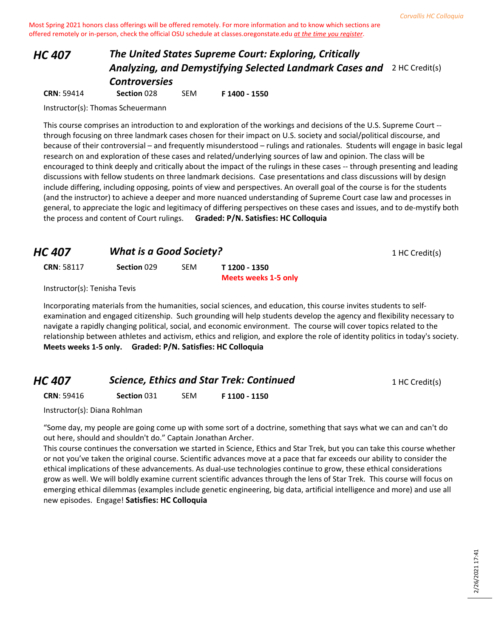# *HC 407 The United States Supreme Court: Exploring, Critically*  **Analyzing, and Demystifying Selected Landmark Cases and** 2 HC Credit(s) *Controversies*

**CRN**: 59414 **Section** 028 SEM **F 1400 - 1550**

Instructor(s): Thomas Scheuermann

This course comprises an introduction to and exploration of the workings and decisions of the U.S. Supreme Court - through focusing on three landmark cases chosen for their impact on U.S. society and social/political discourse, and because of their controversial – and frequently misunderstood – rulings and rationales. Students will engage in basic legal research on and exploration of these cases and related/underlying sources of law and opinion. The class will be encouraged to think deeply and critically about the impact of the rulings in these cases -- through presenting and leading discussions with fellow students on three landmark decisions. Case presentations and class discussions will by design include differing, including opposing, points of view and perspectives. An overall goal of the course is for the students (and the instructor) to achieve a deeper and more nuanced understanding of Supreme Court case law and processes in general, to appreciate the logic and legitimacy of differing perspectives on these cases and issues, and to de-mystify both the process and content of Court rulings. **Graded: P/N. Satisfies: HC Colloquia**

| <b>HC 407</b>                |             | <b>What is a Good Society?</b> |                                       |  |  |
|------------------------------|-------------|--------------------------------|---------------------------------------|--|--|
| <b>CRN: 58117</b>            | Section 029 | SEM                            | T 1200 - 1350<br>Meets weeks 1-5 only |  |  |
| Instructor(s): Tenisha Tevis |             |                                |                                       |  |  |

Incorporating materials from the humanities, social sciences, and education, this course invites students to selfexamination and engaged citizenship. Such grounding will help students develop the agency and flexibility necessary to navigate a rapidly changing political, social, and economic environment. The course will cover topics related to the relationship between athletes and activism, ethics and religion, and explore the role of identity politics in today's society. **Meets weeks 1-5 only. Graded: P/N. Satisfies: HC Colloquia**

| <b>Science, Ethics and Star Trek: Continued</b><br>HC 407 |             |            | 1 HC Credit(s) |  |
|-----------------------------------------------------------|-------------|------------|----------------|--|
| <b>CRN: 59416</b>                                         | Section 031 | <b>SFM</b> | F 1100 - 1150  |  |

Instructor(s): Diana Rohlman

"Some day, my people are going come up with some sort of a doctrine, something that says what we can and can't do out here, should and shouldn't do." Captain Jonathan Archer.

This course continues the conversation we started in Science, Ethics and Star Trek, but you can take this course whether or not you've taken the original course. Scientific advances move at a pace that far exceeds our ability to consider the ethical implications of these advancements. As dual-use technologies continue to grow, these ethical considerations grow as well. We will boldly examine current scientific advances through the lens of Star Trek. This course will focus on emerging ethical dilemmas (examples include genetic engineering, big data, artificial intelligence and more) and use all new episodes. Engage! **Satisfies: HC Colloquia**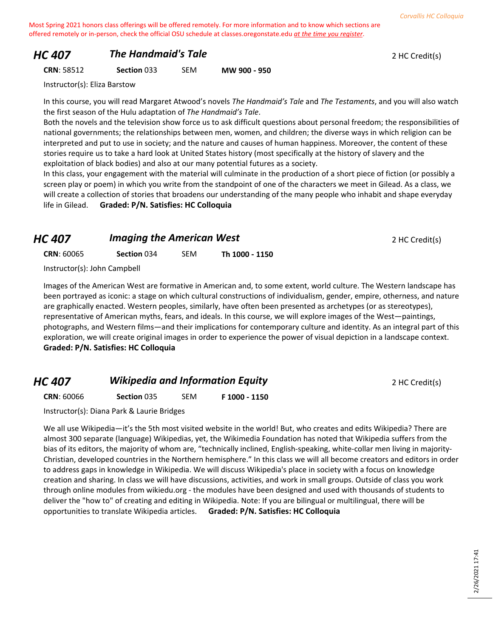## *HC 407* **The Handmaid's Tale 2 HC Credit(s) 2 HC Credit(s)**

**CRN**: 58512 **Section** 033 SEM **MW 900 - 950**

Instructor(s): Eliza Barstow

In this course, you will read Margaret Atwood's novels *The Handmaid's Tale* and *The Testaments*, and you will also watch the first season of the Hulu adaptation of *The Handmaid's Tale*.

Both the novels and the television show force us to ask difficult questions about personal freedom; the responsibilities of national governments; the relationships between men, women, and children; the diverse ways in which religion can be interpreted and put to use in society; and the nature and causes of human happiness. Moreover, the content of these stories require us to take a hard look at United States history (most specifically at the history of slavery and the exploitation of black bodies) and also at our many potential futures as a society.

In this class, your engagement with the material will culminate in the production of a short piece of fiction (or possibly a screen play or poem) in which you write from the standpoint of one of the characters we meet in Gilead. As a class, we will create a collection of stories that broadens our understanding of the many people who inhabit and shape everyday life in Gilead. **Graded: P/N. Satisfies: HC Colloquia**

| HC 407                       | <b>Imaging the American West</b> |     | 2 HC Credit(s) |  |
|------------------------------|----------------------------------|-----|----------------|--|
| <b>CRN: 60065</b>            | Section 034                      | SEM | Th 1000 - 1150 |  |
| Instructor(s): John Campbell |                                  |     |                |  |

Images of the American West are formative in American and, to some extent, world culture. The Western landscape has been portrayed as iconic: a stage on which cultural constructions of individualism, gender, empire, otherness, and nature are graphically enacted. Western peoples, similarly, have often been presented as archetypes (or as stereotypes), representative of American myths, fears, and ideals. In this course, we will explore images of the West—paintings, photographs, and Western films—and their implications for contemporary culture and identity. As an integral part of this exploration, we will create original images in order to experience the power of visual depiction in a landscape context. **Graded: P/N. Satisfies: HC Colloquia**

## **HC 407** *Wikipedia and Information Equity* **2 HC Credit(s)**

**CRN**: 60066 **Section** 035 SEM **F 1000 - 1150**

Instructor(s): Diana Park & Laurie Bridges

We all use Wikipedia—it's the 5th most visited website in the world! But, who creates and edits Wikipedia? There are almost 300 separate (language) Wikipedias, yet, the Wikimedia Foundation has noted that Wikipedia suffers from the bias of its editors, the majority of whom are, "technically inclined, English-speaking, white-collar men living in majority-Christian, developed countries in the Northern hemisphere." In this class we will all become creators and editors in order to address gaps in knowledge in Wikipedia. We will discuss Wikipedia's place in society with a focus on knowledge creation and sharing. In class we will have discussions, activities, and work in small groups. Outside of class you work through online modules from wikiedu.org - the modules have been designed and used with thousands of students to deliver the "how to" of creating and editing in Wikipedia. Note: If you are bilingual or multilingual, there will be opportunities to translate Wikipedia articles. **Graded: P/N. Satisfies: HC Colloquia**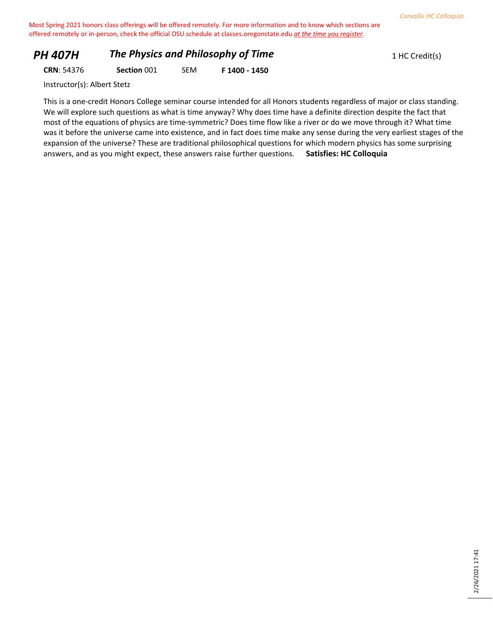# **PH 407H The Physics and Philosophy of Time** 1 HC Credit(s)

**CRN**: 54376 **Section** 001 SEM **F 1400 - 1450**

Instructor(s): Albert Stetz

This is a one-credit Honors College seminar course intended for all Honors students regardless of major or class standing. We will explore such questions as what is time anyway? Why does time have a definite direction despite the fact that most of the equations of physics are time-symmetric? Does time flow like a river or do we move through it? What time was it before the universe came into existence, and in fact does time make any sense during the very earliest stages of the expansion of the universe? These are traditional philosophical questions for which modern physics has some surprising answers, and as you might expect, these answers raise further questions. **Satisfies: HC Colloquia**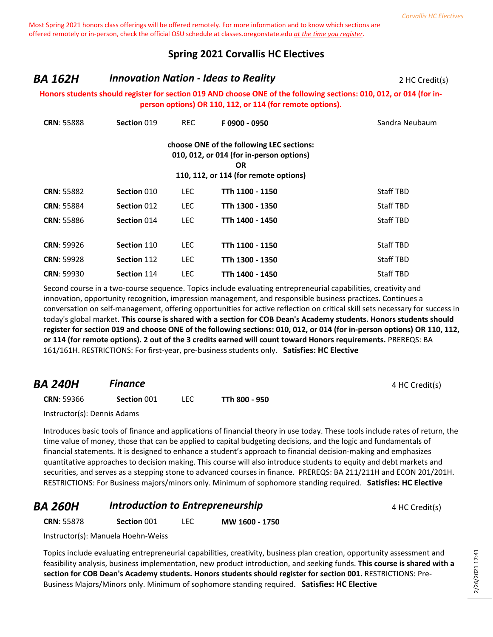## **Spring 2021 Corvallis HC Electives**

## **BA 162H Innovation Nation - Ideas to Reality Property Alleger 2 HC Credit(s)**

#### **Honors students should register for section 019 AND choose ONE of the following sections: 010, 012, or 014 (for inperson options) OR 110, 112, or 114 (for remote options).**

| <b>CRN: 55888</b> | Section 019 | <b>REC</b> | F0900 - 0950                                                                                                                                | Sandra Neubaum   |
|-------------------|-------------|------------|---------------------------------------------------------------------------------------------------------------------------------------------|------------------|
|                   |             |            | choose ONE of the following LEC sections:<br>010, 012, or 014 (for in-person options)<br><b>OR</b><br>110, 112, or 114 (for remote options) |                  |
| <b>CRN: 55882</b> | Section 010 | LEC.       | TTh 1100 - 1150                                                                                                                             | <b>Staff TBD</b> |
| <b>CRN: 55884</b> | Section 012 | <b>LEC</b> | TTh 1300 - 1350                                                                                                                             | <b>Staff TBD</b> |
| <b>CRN: 55886</b> | Section 014 | <b>LEC</b> | TTh 1400 - 1450                                                                                                                             | <b>Staff TBD</b> |
|                   |             |            |                                                                                                                                             |                  |
| <b>CRN: 59926</b> | Section 110 | <b>LEC</b> | TTh 1100 - 1150                                                                                                                             | <b>Staff TBD</b> |
| <b>CRN: 59928</b> | Section 112 | <b>LEC</b> | TTh 1300 - 1350                                                                                                                             | <b>Staff TBD</b> |
| <b>CRN: 59930</b> | Section 114 | <b>LEC</b> | TTh 1400 - 1450                                                                                                                             | <b>Staff TBD</b> |

Second course in a two-course sequence. Topics include evaluating entrepreneurial capabilities, creativity and innovation, opportunity recognition, impression management, and responsible business practices. Continues a conversation on self-management, offering opportunities for active reflection on critical skill sets necessary for success in today's global market. **This course is shared with a section for COB Dean's Academy students. Honors students should register for section 019 and choose ONE of the following sections: 010, 012, or 014 (for in-person options) OR 110, 112, or 114 (for remote options). 2 out of the 3 credits earned will count toward Honors requirements.** PREREQS: BA 161/161H. RESTRICTIONS: For first-year, pre-business students only. **Satisfies: HC Elective**

| <b>BA 240H</b>    | <b>Finance</b> |      |               | 4 HC Credit(s) |
|-------------------|----------------|------|---------------|----------------|
| <b>CRN: 59366</b> | Section 001    | LEC. | TTh 800 - 950 |                |

Instructor(s): Dennis Adams

Introduces basic tools of finance and applications of financial theory in use today. These tools include rates of return, the time value of money, those that can be applied to capital budgeting decisions, and the logic and fundamentals of financial statements. It is designed to enhance a student's approach to financial decision-making and emphasizes quantitative approaches to decision making. This course will also introduce students to equity and debt markets and securities, and serves as a stepping stone to advanced courses in finance. PREREQS: BA 211/211H and ECON 201/201H. RESTRICTIONS: For Business majors/minors only. Minimum of sophomore standing required. **Satisfies: HC Elective**

| <b>BA 260H</b> | Introduction to Entrepreneurship | 4 HC Credit(s) |
|----------------|----------------------------------|----------------|
|                |                                  |                |

**CRN**: 55878 **Section** 001 LEC **MW 1600 - 1750**

Instructor(s): Manuela Hoehn-Weiss

Topics include evaluating entrepreneurial capabilities, creativity, business plan creation, opportunity assessment and feasibility analysis, business implementation, new product introduction, and seeking funds. **This course is shared with a section for COB Dean's Academy students. Honors students should register for section 001.** RESTRICTIONS: Pre-Business Majors/Minors only. Minimum of sophomore standing required. **Satisfies: HC Elective**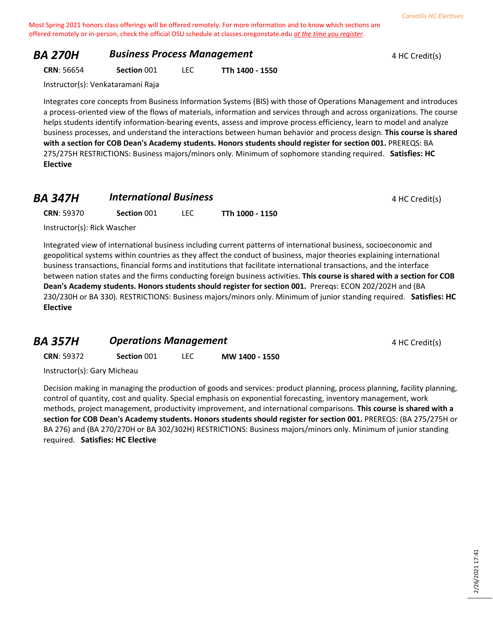## **BA 270H Business Process Management A HC Credit(s)** 4 HC Credit(s)

**CRN**: 56654 **Section** 001 LEC **TTh 1400 - 1550**

Instructor(s): Venkataramani Raja

Integrates core concepts from Business Information Systems (BIS) with those of Operations Management and introduces a process-oriented view of the flows of materials, information and services through and across organizations. The course helps students identify information-bearing events, assess and improve process efficiency, learn to model and analyze business processes, and understand the interactions between human behavior and process design. **This course is shared with a section for COB Dean's Academy students. Honors students should register for section 001.** PREREQS: BA 275/275H RESTRICTIONS: Business majors/minors only. Minimum of sophomore standing required. **Satisfies: HC Elective**

## **BA 347H International Business 1 AM <b>4** HC Credit(s)

| <b>CRN: 59370</b> | Section 001 | <b>LEC</b> | TTh 1000 - 1150 |
|-------------------|-------------|------------|-----------------|
|-------------------|-------------|------------|-----------------|

Instructor(s): Rick Wascher

Integrated view of international business including current patterns of international business, socioeconomic and geopolitical systems within countries as they affect the conduct of business, major theories explaining international business transactions, financial forms and institutions that facilitate international transactions, and the interface between nation states and the firms conducting foreign business activities. **This course is shared with a section for COB Dean's Academy students. Honors students should register for section 001.** Prereqs: ECON 202/202H and (BA 230/230H or BA 330). RESTRICTIONS: Business majors/minors only. Minimum of junior standing required. **Satisfies: HC Elective**

#### **BA 357H Operations Management** 4 HC Credit(s)

**CRN**: 59372 **Section** 001 LEC **MW 1400 - 1550**

Instructor(s): Gary Micheau

Decision making in managing the production of goods and services: product planning, process planning, facility planning, control of quantity, cost and quality. Special emphasis on exponential forecasting, inventory management, work methods, project management, productivity improvement, and international comparisons. **This course is shared with a section for COB Dean's Academy students. Honors students should register for section 001.** PREREQS: (BA 275/275H or BA 276) and (BA 270/270H or BA 302/302H) RESTRICTIONS: Business majors/minors only. Minimum of junior standing required. **Satisfies: HC Elective**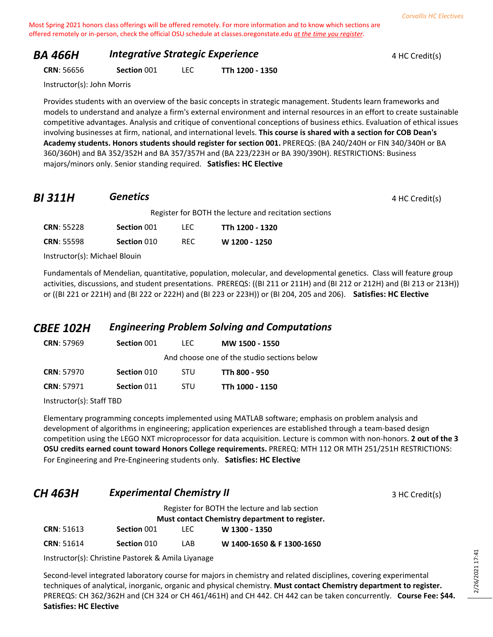## **BA 466H Integrative Strategic Experience A ALC Credit(s)** 4 HC Credit(s)

**CRN**: 56656 **Section** 001 LEC **TTh 1200 - 1350**

Instructor(s): John Morris

Provides students with an overview of the basic concepts in strategic management. Students learn frameworks and models to understand and analyze a firm's external environment and internal resources in an effort to create sustainable competitive advantages. Analysis and critique of conventional conceptions of business ethics. Evaluation of ethical issues involving businesses at firm, national, and international levels. **This course is shared with a section for COB Dean's Academy students. Honors students should register for section 001.** PREREQS: (BA 240/240H or FIN 340/340H or BA 360/360H) and BA 352/352H and BA 357/357H and (BA 223/223H or BA 390/390H). RESTRICTIONS: Business majors/minors only. Senior standing required. **Satisfies: HC Elective**

# *BI 311H* **Genetics 4** HC Credit(s)

|                   | Register for BOTH the lecture and recitation sections |      |                 |  |
|-------------------|-------------------------------------------------------|------|-----------------|--|
| <b>CRN: 55228</b> | Section 001                                           | TEC. | TTh 1200 - 1320 |  |
| <b>CRN: 55598</b> | Section 010                                           | RFC. | W 1200 - 1250   |  |

Instructor(s): Michael Blouin

Fundamentals of Mendelian, quantitative, population, molecular, and developmental genetics. Class will feature group activities, discussions, and student presentations. PREREQS: ((BI 211 or 211H) and (BI 212 or 212H) and (BI 213 or 213H)) or ((BI 221 or 221H) and (BI 222 or 222H) and (BI 223 or 223H)) or (BI 204, 205 and 206). **Satisfies: HC Elective**

## *CBEE 102H Engineering Problem Solving and Computations*

| <b>CRN: 57969</b> | Section 001 | TEC.       | MW 1500 - 1550                              |
|-------------------|-------------|------------|---------------------------------------------|
|                   |             |            | And choose one of the studio sections below |
| <b>CRN: 57970</b> | Section 010 | <b>STU</b> | TTh 800 - 950                               |
| <b>CRN: 57971</b> | Section 011 | <b>STU</b> | TTh 1000 - 1150                             |
|                   |             |            |                                             |

Instructor(s): Staff TBD

Elementary programming concepts implemented using MATLAB software; emphasis on problem analysis and development of algorithms in engineering; application experiences are established through a team-based design competition using the LEGO NXT microprocessor for data acquisition. Lecture is common with non-honors. **2 out of the 3 OSU credits earned count toward Honors College requirements.** PREREQ: MTH 112 OR MTH 251/251H RESTRICTIONS: For Engineering and Pre-Engineering students only. **Satisfies: HC Elective**

## **CH 463H** *Experimental Chemistry II* **EXPERIMENT ACCONDUM** 3 HC Credit(s)

Register for BOTH the lecture and lab section

|                   |             |            | Must contact Chemistry department to register. |  |
|-------------------|-------------|------------|------------------------------------------------|--|
| <b>CRN: 51613</b> | Section 001 | <b>LEC</b> | W 1300 - 1350                                  |  |

| <b>CRN</b> : 51614 | Section 010 | LAB. | W 1400-1650 & F 1300-1650 |
|--------------------|-------------|------|---------------------------|
|                    |             |      |                           |

Instructor(s): Christine Pastorek & Amila Liyanage

Second-level integrated laboratory course for majors in chemistry and related disciplines, covering experimental techniques of analytical, inorganic, organic and physical chemistry. **Must contact Chemistry department to register.** PREREQS: CH 362/362H and (CH 324 or CH 461/461H) and CH 442. CH 442 can be taken concurrently. **Course Fee: \$44. Satisfies: HC Elective**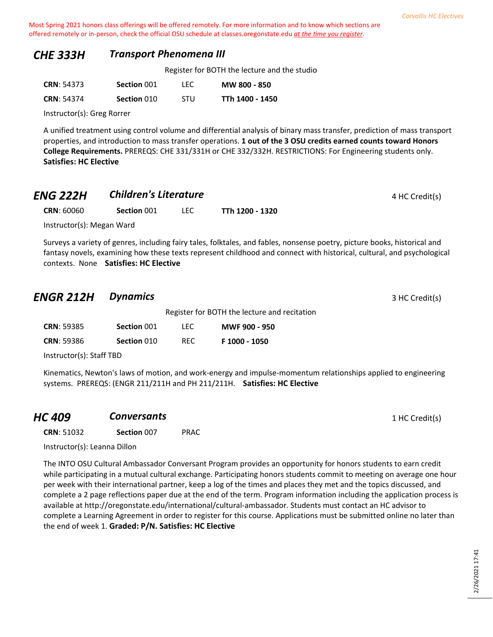#### *CHE 333H Transport Phenomena III*

Register for BOTH the lecture and the studio

| <b>CRN: 54373</b> | Section 001 | LEC.       | MW 800 - 850    |
|-------------------|-------------|------------|-----------------|
| <b>CRN: 54374</b> | Section 010 | <b>STU</b> | TTh 1400 - 1450 |

Instructor(s): Greg Rorrer

A unified treatment using control volume and differential analysis of binary mass transfer, prediction of mass transport properties, and introduction to mass transfer operations. **1 out of the 3 OSU credits earned counts toward Honors College Requirements.** PREREQS: CHE 331/331H or CHE 332/332H. RESTRICTIONS: For Engineering students only. **Satisfies: HC Elective**

## *ENG 222H* **Children's Literature All 222H Children's Literature 4 HC Credit(s)**

**CRN**: 60060 **Section** 001 LEC **TTh 1200 - 1320**

Instructor(s): Megan Ward

Surveys a variety of genres, including fairy tales, folktales, and fables, nonsense poetry, picture books, historical and fantasy novels, examining how these texts represent childhood and connect with historical, cultural, and psychological contexts. None **Satisfies: HC Elective**

## *ENGR 212H Dynamics* 3 HC Credit(s)

|                   |             |      | Register for BOTH the lecture and recitation |
|-------------------|-------------|------|----------------------------------------------|
| <b>CRN: 59385</b> | Section 001 | TEC. | <b>MWF 900 - 950</b>                         |
| <b>CRN: 59386</b> | Section 010 | RFC. | F 1000 - 1050                                |

Instructor(s): Staff TBD

Kinematics, Newton's laws of motion, and work-energy and impulse-momentum relationships applied to engineering systems. PREREQS: (ENGR 211/211H and PH 211/211H. **Satisfies: HC Elective**

| <b>HC 409</b> | <b>Conversants</b> | 1 HC Credit(s) |
|---------------|--------------------|----------------|
|---------------|--------------------|----------------|

**CRN**: 51032 **Section** 007 PRAC

Instructor(s): Leanna Dillon

The INTO OSU Cultural Ambassador Conversant Program provides an opportunity for honors students to earn credit while participating in a mutual cultural exchange. Participating honors students commit to meeting on average one hour per week with their international partner, keep a log of the times and places they met and the topics discussed, and complete a 2 page reflections paper due at the end of the term. Program information including the application process is available at http://oregonstate.edu/international/cultural-ambassador. Students must contact an HC advisor to complete a Learning Agreement in order to register for this course. Applications must be submitted online no later than the end of week 1. **Graded: P/N. Satisfies: HC Elective**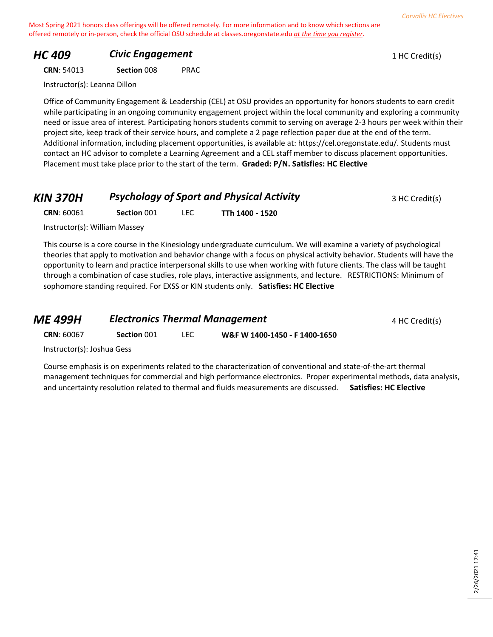## **HC 409 Civic Engagement Civic Engagement** 1 HC Credit(s)

**CRN**: 54013 **Section** 008 PRAC

Instructor(s): Leanna Dillon

Office of Community Engagement & Leadership (CEL) at OSU provides an opportunity for honors students to earn credit while participating in an ongoing community engagement project within the local community and exploring a community need or issue area of interest. Participating honors students commit to serving on average 2-3 hours per week within their project site, keep track of their service hours, and complete a 2 page reflection paper due at the end of the term. Additional information, including placement opportunities, is available at: https://cel.oregonstate.edu/. Students must contact an HC advisor to complete a Learning Agreement and a CEL staff member to discuss placement opportunities. Placement must take place prior to the start of the term. **Graded: P/N. Satisfies: HC Elective**

| <b>KIN 370H</b> | <b>Psychology of Sport and Physical Activity</b> | 3 HC Credit(s) |
|-----------------|--------------------------------------------------|----------------|
|-----------------|--------------------------------------------------|----------------|

**CRN**: 60061 **Section** 001 LEC **TTh 1400 - 1520**

Instructor(s): William Massey

This course is a core course in the Kinesiology undergraduate curriculum. We will examine a variety of psychological theories that apply to motivation and behavior change with a focus on physical activity behavior. Students will have the opportunity to learn and practice interpersonal skills to use when working with future clients. The class will be taught through a combination of case studies, role plays, interactive assignments, and lecture. RESTRICTIONS: Minimum of sophomore standing required. For EXSS or KIN students only. **Satisfies: HC Elective**

| ME 499H                    |             | <b>Electronics Thermal Management</b> |                               | 4 HC Credit(s) |
|----------------------------|-------------|---------------------------------------|-------------------------------|----------------|
| <b>CRN: 60067</b>          | Section 001 | LEC.                                  | W&F W 1400-1450 - F 1400-1650 |                |
| Instructor(s): Joshua Gess |             |                                       |                               |                |

Course emphasis is on experiments related to the characterization of conventional and state-of-the-art thermal management techniques for commercial and high performance electronics. Proper experimental methods, data analysis, and uncertainty resolution related to thermal and fluids measurements are discussed. **Satisfies: HC Elective**

*Corvallis HC Electives*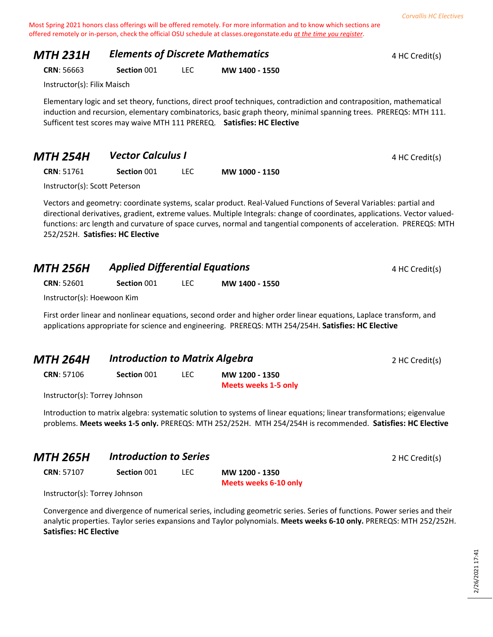## **MTH 231H** *Elements of Discrete Mathematics* 4 HC Credit(s)

**CRN**: 56663 **Section** 001 LEC **MW 1400 - 1550**

Instructor(s): Filix Maisch

Elementary logic and set theory, functions, direct proof techniques, contradiction and contraposition, mathematical induction and recursion, elementary combinatorics, basic graph theory, minimal spanning trees. PREREQS: MTH 111. Sufficent test scores may waive MTH 111 PREREQ. **Satisfies: HC Elective**

| <b>MTH 254H</b> | Vector Calculus I | 4 HC Credit(s) |
|-----------------|-------------------|----------------|
|-----------------|-------------------|----------------|

**CRN**: 51761 **Section** 001 LEC **MW 1000 - 1150**

Instructor(s): Scott Peterson

Vectors and geometry: coordinate systems, scalar product. Real-Valued Functions of Several Variables: partial and directional derivatives, gradient, extreme values. Multiple Integrals: change of coordinates, applications. Vector valuedfunctions: arc length and curvature of space curves, normal and tangential components of acceleration. PREREQS: MTH 252/252H. **Satisfies: HC Elective**

| <b>MTH 256H</b>    | <b>Applied Differential Equations</b> |  |                | 4 HC Credit(s) |
|--------------------|---------------------------------------|--|----------------|----------------|
| <b>CRN</b> : 52601 | Section 001                           |  | MW 1400 - 1550 |                |

Instructor(s): Hoewoon Kim

First order linear and nonlinear equations, second order and higher order linear equations, Laplace transform, and applications appropriate for science and engineering. PREREQS: MTH 254/254H. **Satisfies: HC Elective**

| <b>MTH 264H</b>                                                                    |             | <b>Introduction to Matrix Algebra</b> |                      | 2 HC Credit(s) |
|------------------------------------------------------------------------------------|-------------|---------------------------------------|----------------------|----------------|
| <b>CRN: 57106</b>                                                                  | Section 001 | LEC.                                  | MW 1200 - 1350       |                |
|                                                                                    |             |                                       | Meets weeks 1-5 only |                |
| $1.2.11$ . The set of $-1.1$ , $\pm$ $ \pm$ $ \pm$ $ \pm$ $ \pm$ $ \pm$ $ \pm$ $-$ |             |                                       |                      |                |

Instructor(s): Torrey Johnson

Introduction to matrix algebra: systematic solution to systems of linear equations; linear transformations; eigenvalue problems. **Meets weeks 1-5 only.** PREREQS: MTH 252/252H. MTH 254/254H is recommended. **Satisfies: HC Elective**

| MTH 265H          | <b>Introduction to Series</b> |  |                | 2 HC Credit(s) |
|-------------------|-------------------------------|--|----------------|----------------|
| <b>CRN: 57107</b> | Section 001                   |  | MW 1200 - 1350 |                |

**Meets weeks 6-10 only**

Instructor(s): Torrey Johnson

Convergence and divergence of numerical series, including geometric series. Series of functions. Power series and their analytic properties. Taylor series expansions and Taylor polynomials. **Meets weeks 6-10 only.** PREREQS: MTH 252/252H. **Satisfies: HC Elective**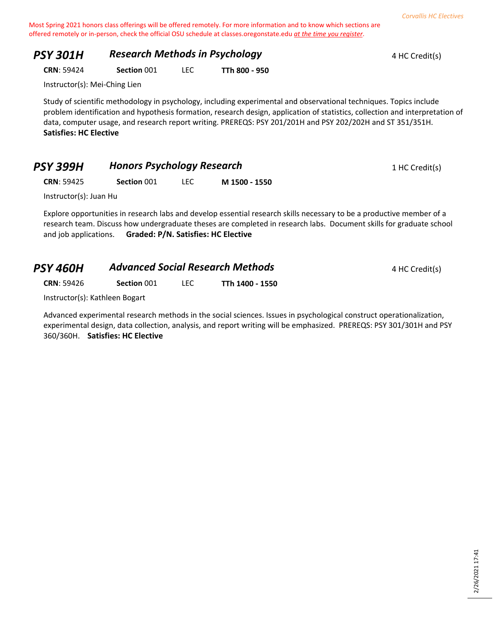| <b>PSY 301H</b> | <b>Research Methods in Psychology</b> | 4 HC Credit(s) |
|-----------------|---------------------------------------|----------------|
|                 |                                       |                |

**CRN**: 59424 **Section** 001 LEC **TTh 800 - 950**

Instructor(s): Mei-Ching Lien

Study of scientific methodology in psychology, including experimental and observational techniques. Topics include problem identification and hypothesis formation, research design, application of statistics, collection and interpretation of data, computer usage, and research report writing. PREREQS: PSY 201/201H and PSY 202/202H and ST 351/351H. **Satisfies: HC Elective**

| <b>PSY 399H</b> | <b>Honors Psychology Research</b> | 1 HC Credit(s) |
|-----------------|-----------------------------------|----------------|
|-----------------|-----------------------------------|----------------|

**CRN**: 59425 **Section** 001 LEC **M 1500 - 1550**

Instructor(s): Juan Hu

Explore opportunities in research labs and develop essential research skills necessary to be a productive member of a research team. Discuss how undergraduate theses are completed in research labs. Document skills for graduate school and job applications. **Graded: P/N. Satisfies: HC Elective**

| <b>Advanced Social Research Methods</b><br>4 HC Credit(s) |
|-----------------------------------------------------------|
|                                                           |

**CRN**: 59426 **Section** 001 LEC **TTh 1400 - 1550**

Instructor(s): Kathleen Bogart

Advanced experimental research methods in the social sciences. Issues in psychological construct operationalization, experimental design, data collection, analysis, and report writing will be emphasized. PREREQS: PSY 301/301H and PSY 360/360H. **Satisfies: HC Elective**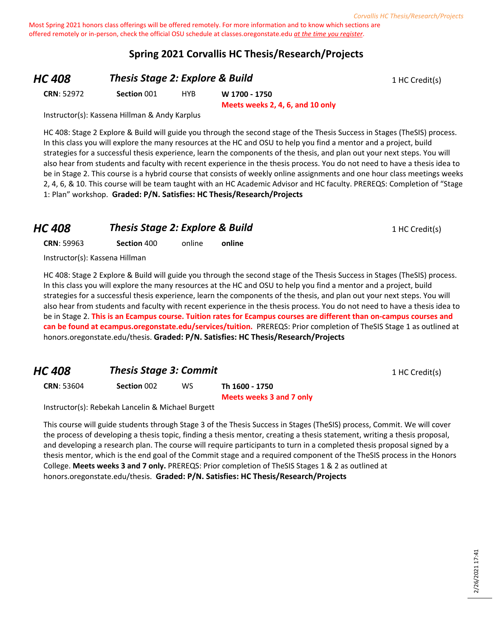### **Spring 2021 Corvallis HC Thesis/Research/Projects**

## **HC 408 Thesis Stage 2: Explore & Build** 1 HC Credit(s)

**CRN**: 52972 **Section** 001 HYB **W 1700 - 1750**

**Meets weeks 2, 4, 6, and 10 only**

Instructor(s): Kassena Hillman & Andy Karplus

HC 408: Stage 2 Explore & Build will guide you through the second stage of the Thesis Success in Stages (TheSIS) process. In this class you will explore the many resources at the HC and OSU to help you find a mentor and a project, build strategies for a successful thesis experience, learn the components of the thesis, and plan out your next steps. You will also hear from students and faculty with recent experience in the thesis process. You do not need to have a thesis idea to be in Stage 2. This course is a hybrid course that consists of weekly online assignments and one hour class meetings weeks 2, 4, 6, & 10. This course will be team taught with an HC Academic Advisor and HC faculty. PREREQS: Completion of "Stage 1: Plan" workshop. **Graded: P/N. Satisfies: HC Thesis/Research/Projects**

## *HC* **408 Thesis Stage 2: Explore & Build** 1 HC Credit(s)

**CRN**: 59963 **Section** 400 online **online**

Instructor(s): Kassena Hillman

HC 408: Stage 2 Explore & Build will guide you through the second stage of the Thesis Success in Stages (TheSIS) process. In this class you will explore the many resources at the HC and OSU to help you find a mentor and a project, build strategies for a successful thesis experience, learn the components of the thesis, and plan out your next steps. You will also hear from students and faculty with recent experience in the thesis process. You do not need to have a thesis idea to be in Stage 2. **This is an Ecampus course. Tuition rates for Ecampus courses are different than on-campus courses and can be found at ecampus.oregonstate.edu/services/tuition.** PREREQS: Prior completion of TheSIS Stage 1 as outlined at honors.oregonstate.edu/thesis. **Graded: P/N. Satisfies: HC Thesis/Research/Projects**

## **HC 408 Thesis Stage 3: Commit** 1 HC Credit(s)

**CRN**: 53604 **Section** 002 WS **Th 1600 - 1750**

**Meets weeks 3 and 7 only**

Instructor(s): Rebekah Lancelin & Michael Burgett

This course will guide students through Stage 3 of the Thesis Success in Stages (TheSIS) process, Commit. We will cover the process of developing a thesis topic, finding a thesis mentor, creating a thesis statement, writing a thesis proposal, and developing a research plan. The course will require participants to turn in a completed thesis proposal signed by a thesis mentor, which is the end goal of the Commit stage and a required component of the TheSIS process in the Honors College. **Meets weeks 3 and 7 only.** PREREQS: Prior completion of TheSIS Stages 1 & 2 as outlined at honors.oregonstate.edu/thesis. **Graded: P/N. Satisfies: HC Thesis/Research/Projects**